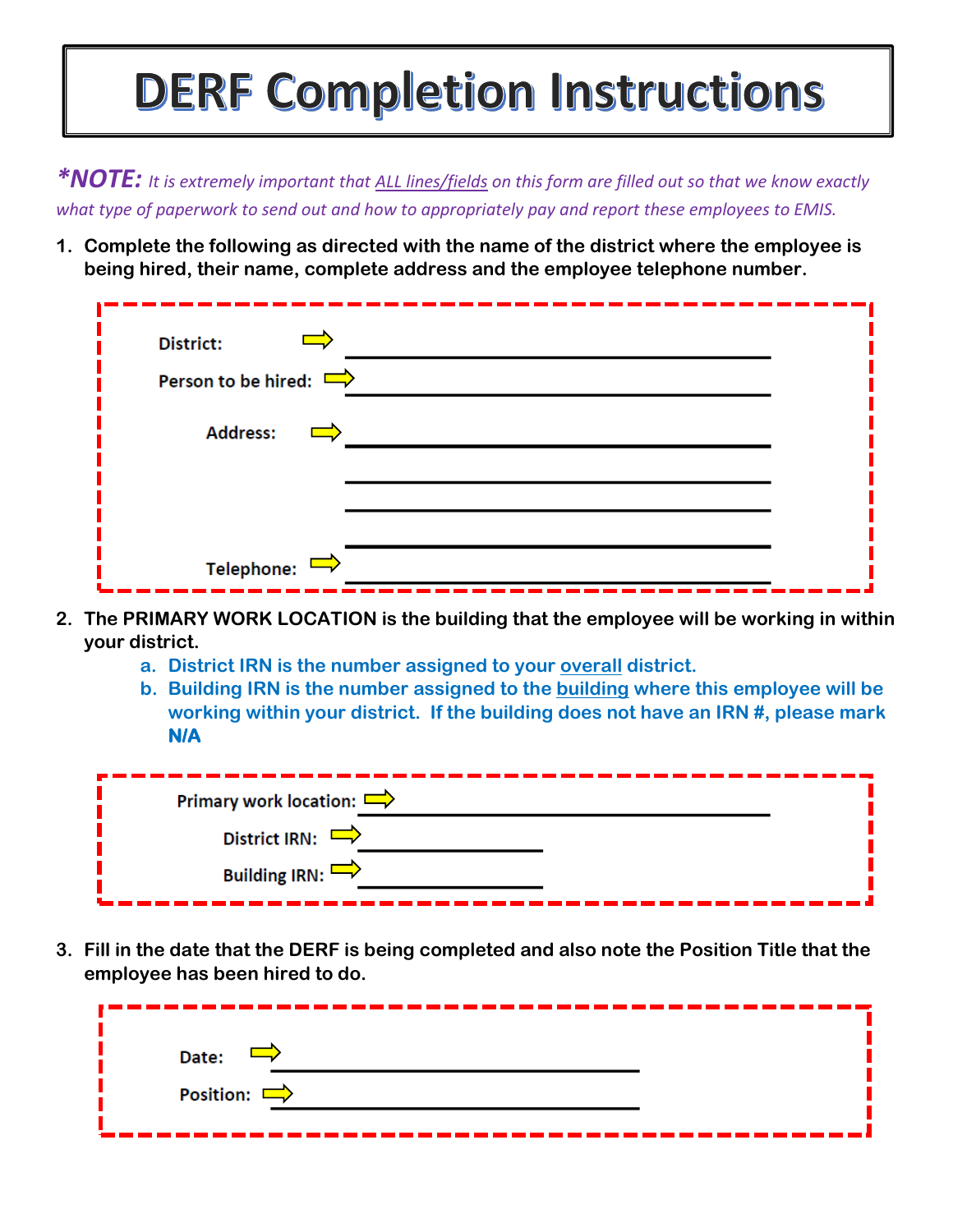## **DERF Completion Instructions**

*\*NOTE: It is extremely important that ALL lines/fields on this form are filled out so that we know exactly what type of paperwork to send out and how to appropriately pay and report these employees to EMIS.*

**1. Complete the following as directed with the name of the district where the employee is being hired, their name, complete address and the employee telephone number.**

| <b>District:</b><br>Person to be hired: $\Rightarrow$ |  |
|-------------------------------------------------------|--|
| <b>Address:</b><br>$\mathcal{L}^{\text{max}}$         |  |
| Telephone: $\Rightarrow$                              |  |

- **2. The PRIMARY WORK LOCATION is the building that the employee will be working in within your district.**
	- **a. District IRN is the number assigned to your overall district.**
	- **b. Building IRN is the number assigned to the building where this employee will be working within your district. If the building does not have an IRN #, please mark N/A**

| Primary work location: $\Rightarrow$ |  |
|--------------------------------------|--|
| District IRN: $\Box$                 |  |
| Building IRN: $\rightarrow$          |  |

**3. Fill in the date that the DERF is being completed and also note the Position Title that the employee has been hired to do.**

| Date:            |  |
|------------------|--|
| Position: $\Box$ |  |
|                  |  |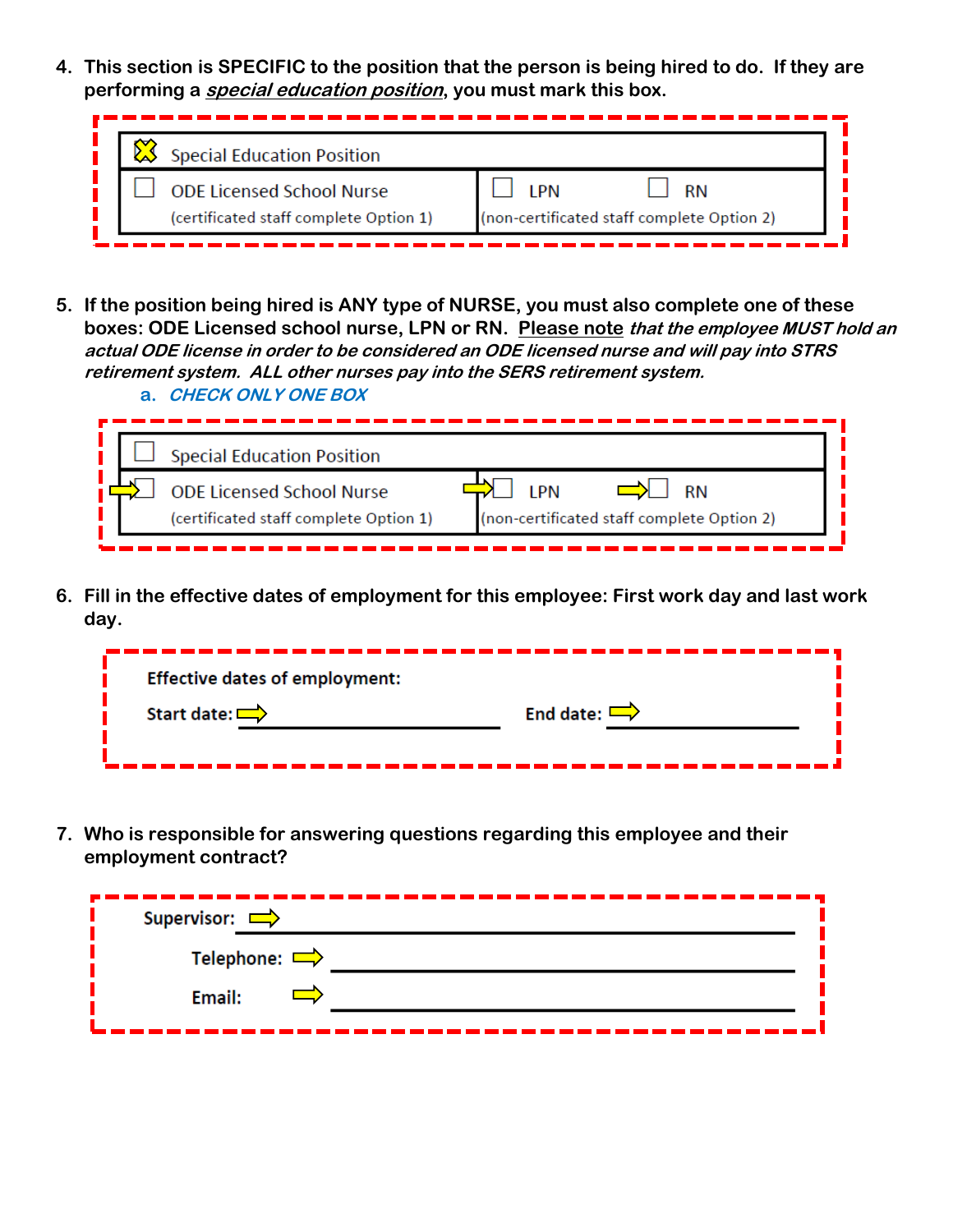**4. This section is SPECIFIC to the position that the person is being hired to do. If they are performing a special education position, you must mark this box.**

| <b>Special Education Position</b>                                          |                                            |
|----------------------------------------------------------------------------|--------------------------------------------|
| <b>ODE Licensed School Nurse</b><br>(certificated staff complete Option 1) | (non-certificated staff complete Option 2) |

**5. If the position being hired is ANY type of NURSE, you must also complete one of these boxes: ODE Licensed school nurse, LPN or RN. Please note that the employee MUST hold an actual ODE license in order to be considered an ODE licensed nurse and will pay into STRS retirement system. ALL other nurses pay into the SERS retirement system. a. CHECK ONLY ONE BOX**

|  | <b>Special Education Position</b>      |                                            |
|--|----------------------------------------|--------------------------------------------|
|  | <b>ODE Licensed School Nurse</b>       | I DNI<br><b>RN</b>                         |
|  | (certificated staff complete Option 1) | (non-certificated staff complete Option 2) |
|  |                                        |                                            |

**6. Fill in the effective dates of employment for this employee: First work day and last work day.**

| <b>Effective dates of employment:</b> |                  |
|---------------------------------------|------------------|
| Start date: $\Box$                    | End date: $\Box$ |
|                                       |                  |

**7. Who is responsible for answering questions regarding this employee and their employment contract?**

| Supervisor: $\Rightarrow$ |  |
|---------------------------|--|
| Telephone: $\Rightarrow$  |  |
| Email:                    |  |
|                           |  |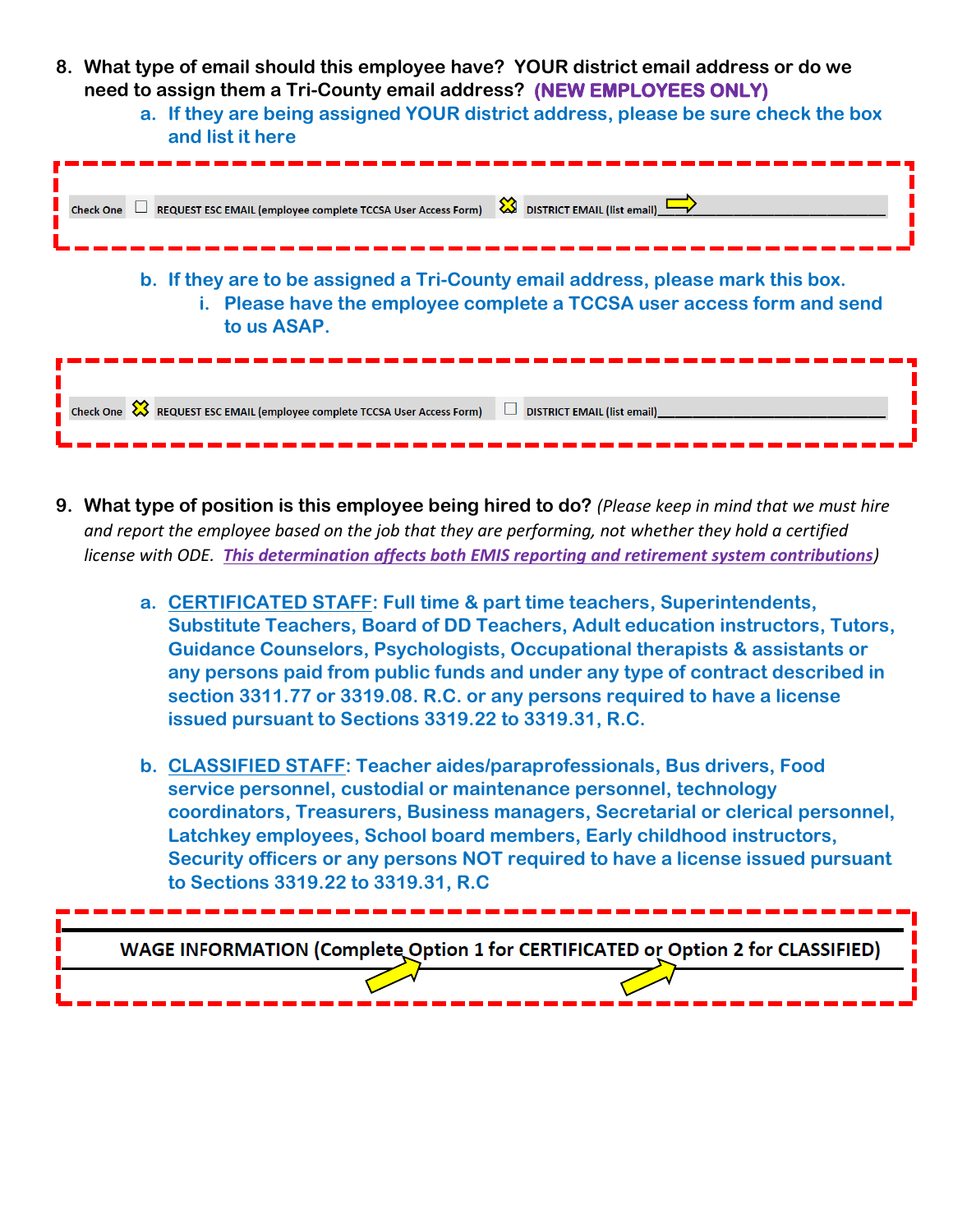- **8. What type of email should this employee have? YOUR district email address or do we need to assign them a Tri-County email address? (NEW EMPLOYEES ONLY)**
	- **a. If they are being assigned YOUR district address, please be sure check the box and list it here**



- **9. What type of position is this employee being hired to do?** *(Please keep in mind that we must hire and report the employee based on the job that they are performing, not whether they hold a certified license with ODE. This determination affects both EMIS reporting and retirement system contributions)*
	- **a. CERTIFICATED STAFF: Full time & part time teachers, Superintendents, Substitute Teachers, Board of DD Teachers, Adult education instructors, Tutors, Guidance Counselors, Psychologists, Occupational therapists & assistants or any persons paid from public funds and under any type of contract described in section 3311.77 or 3319.08. R.C. or any persons required to have a license issued pursuant to Sections 3319.22 to 3319.31, R.C.**
	- **b. CLASSIFIED STAFF: Teacher aides/paraprofessionals, Bus drivers, Food service personnel, custodial or maintenance personnel, technology coordinators, Treasurers, Business managers, Secretarial or clerical personnel, Latchkey employees, School board members, Early childhood instructors, Security officers or any persons NOT required to have a license issued pursuant to Sections 3319.22 to 3319.31, R.C**

WAGE INFORMATION (Complete Option 1 for CERTIFICATED or Option 2 for CLASSIFIED)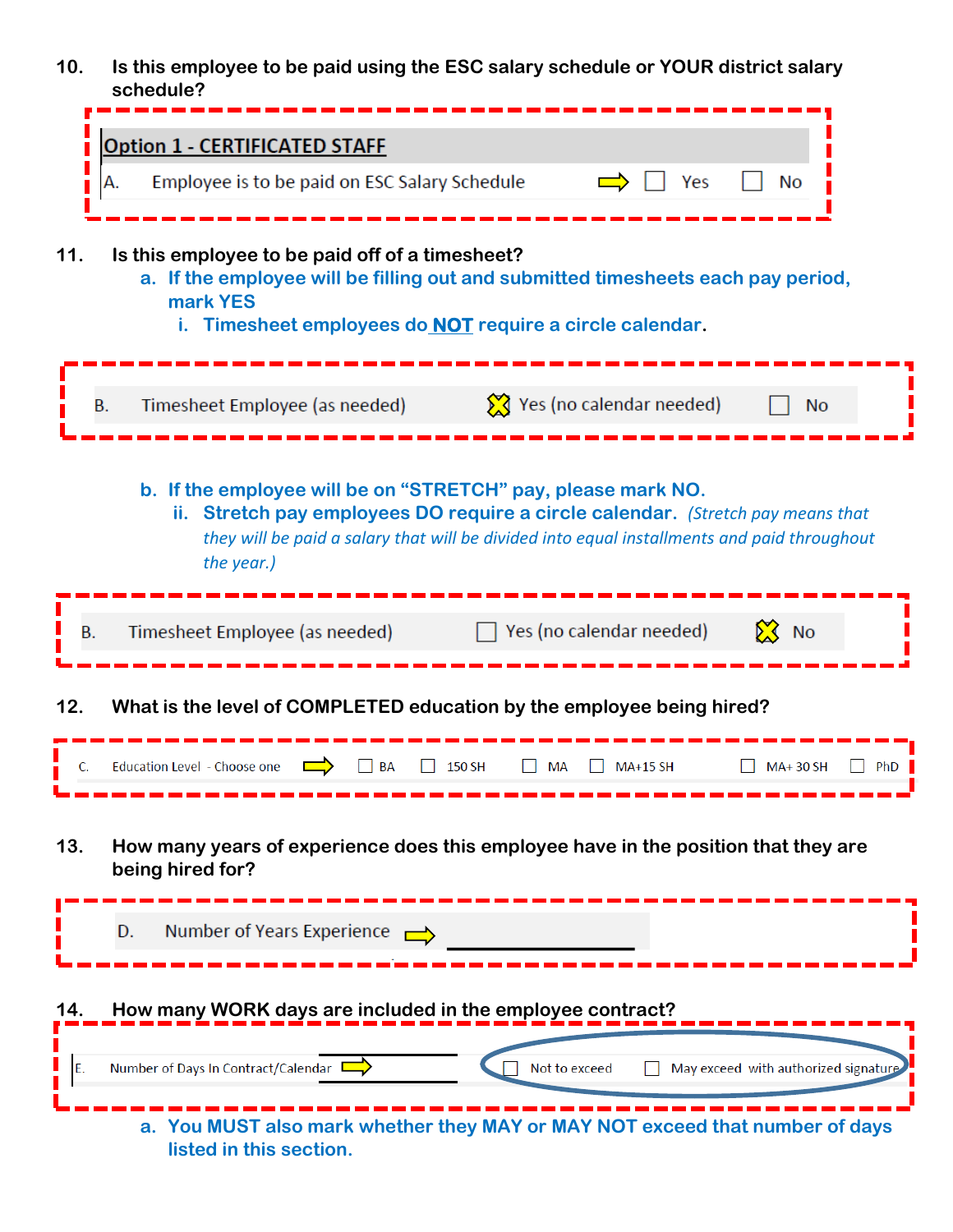**10. Is this employee to be paid using the ESC salary schedule or YOUR district salary schedule?**

| <b>Option 1 - CERTIFICATED STAFF</b><br>Employee is to be paid on ESC Salary Schedule<br>Yes<br>No<br>А.<br>11.<br>Is this employee to be paid off of a timesheet?<br>a. If the employee will be filling out and submitted timesheets each pay period,<br>mark YES<br>i. Timesheet employees do <b>NOT</b> require a circle calendar. |
|---------------------------------------------------------------------------------------------------------------------------------------------------------------------------------------------------------------------------------------------------------------------------------------------------------------------------------------|
| Yes (no calendar needed)<br>Timesheet Employee (as needed)<br>В.<br><b>No</b>                                                                                                                                                                                                                                                         |
| b. If the employee will be on "STRETCH" pay, please mark NO.<br>ii. Stretch pay employees DO require a circle calendar. (Stretch pay means that<br>they will be paid a salary that will be divided into equal installments and paid throughout<br>the year.)                                                                          |
| $\sum$ No<br>Yes (no calendar needed)<br>Timesheet Employee (as needed)<br>В.                                                                                                                                                                                                                                                         |
| What is the level of COMPLETED education by the employee being hired?<br>12.                                                                                                                                                                                                                                                          |
| Education Level - Choose one<br>150 SH<br><b>BA</b><br><b>MA+15 SH</b><br>MA+30 SH<br>MA                                                                                                                                                                                                                                              |
| 13.<br>How many years of experience does this employee have in the position that they are<br>being hired for?                                                                                                                                                                                                                         |
| Number of Years Experience<br>D.                                                                                                                                                                                                                                                                                                      |
| How many WORK days are included in the employee contract?<br>14.<br>May exceed with authorized signature<br>Number of Days In Contract/Calendar<br>Not to exceed<br>E.                                                                                                                                                                |
| a. You MUST also mark whether they MAY or MAY NOT exceed that number of days<br>listed in this section.                                                                                                                                                                                                                               |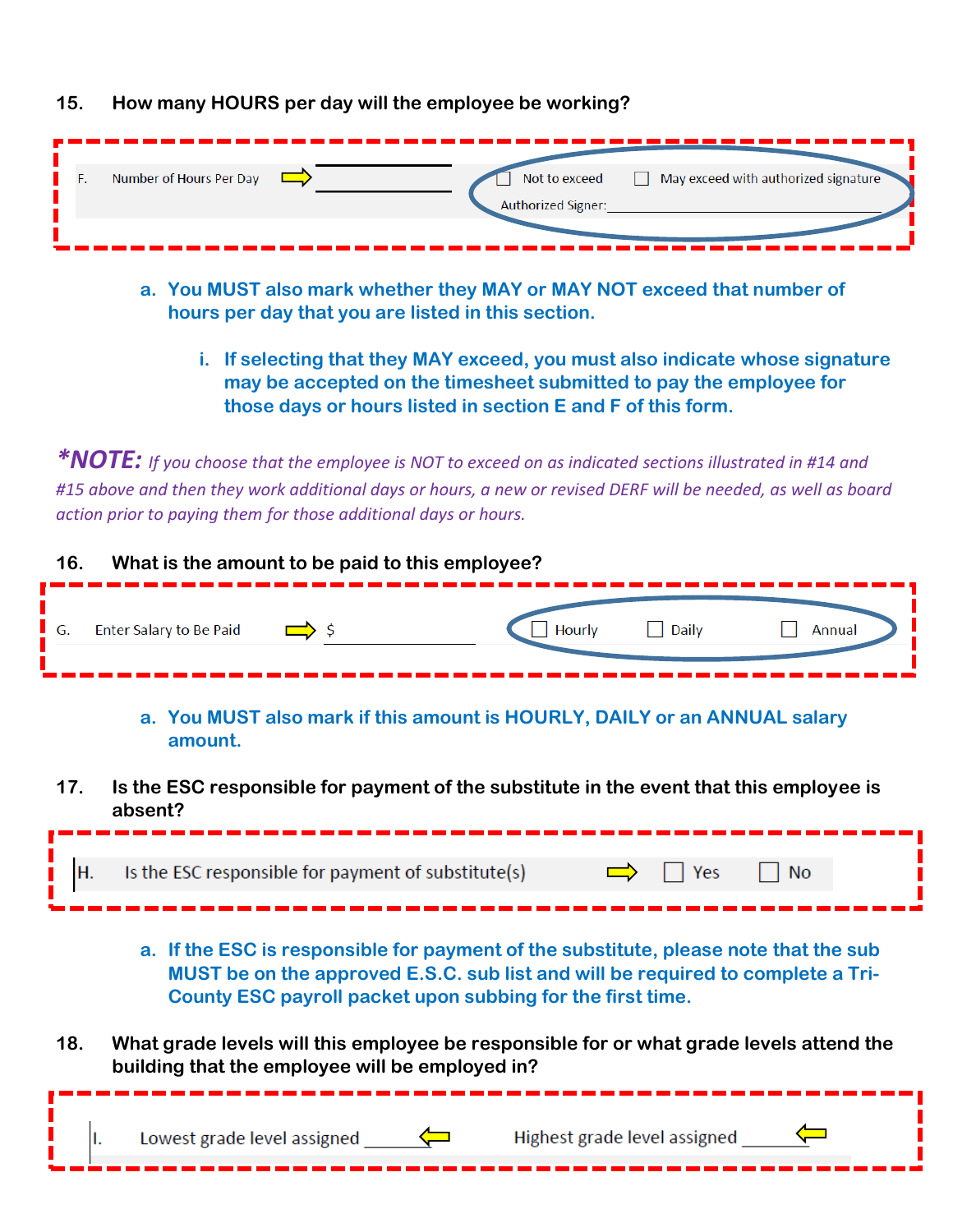|  | 15. How many HOURS per day will the employee be working? |  |  |  |  |
|--|----------------------------------------------------------|--|--|--|--|
|--|----------------------------------------------------------|--|--|--|--|

| Number of Hours Per Day | Not to exceed      | May exceed with authorized signature |
|-------------------------|--------------------|--------------------------------------|
|                         | Authorized Signer: |                                      |
|                         |                    |                                      |

- **a. You MUST also mark whether they MAY or MAY NOT exceed that number of hours per day that you are listed in this section.**
	- **i. If selecting that they MAY exceed, you must also indicate whose signature may be accepted on the timesheet submitted to pay the employee for those days or hours listed in section E and F of this form.**

*\*NOTE: If you choose that the employee is NOT to exceed on as indicated sections illustrated in #14 and #15 above and then they work additional days or hours, a new or revised DERF will be needed, as well as board action prior to paying them for those additional days or hours.*

| 16.                 |                         | What is the amount to be paid to this employee? |        |       |        |
|---------------------|-------------------------|-------------------------------------------------|--------|-------|--------|
| $\blacktriangle$ G. | Enter Salary to Be Paid |                                                 | Hourly | Daily | Annual |

**a. You MUST also mark if this amount is HOURLY, DAILY or an ANNUAL salary amount.**

**17. Is the ESC responsible for payment of the substitute in the event that this employee is absent?**

| Is the ESC responsible for payment of substitute(s) |  |  |
|-----------------------------------------------------|--|--|
|                                                     |  |  |

- **a. If the ESC is responsible for payment of the substitute, please note that the sub MUST be on the approved E.S.C. sub list and will be required to complete a Tri-County ESC payroll packet upon subbing for the first time.**
- **18. What grade levels will this employee be responsible for or what grade levels attend the building that the employee will be employed in?**

|  |  |  | Lowest grade level assigned $\square$ | Highest grade level assigned |
|--|--|--|---------------------------------------|------------------------------|
|--|--|--|---------------------------------------|------------------------------|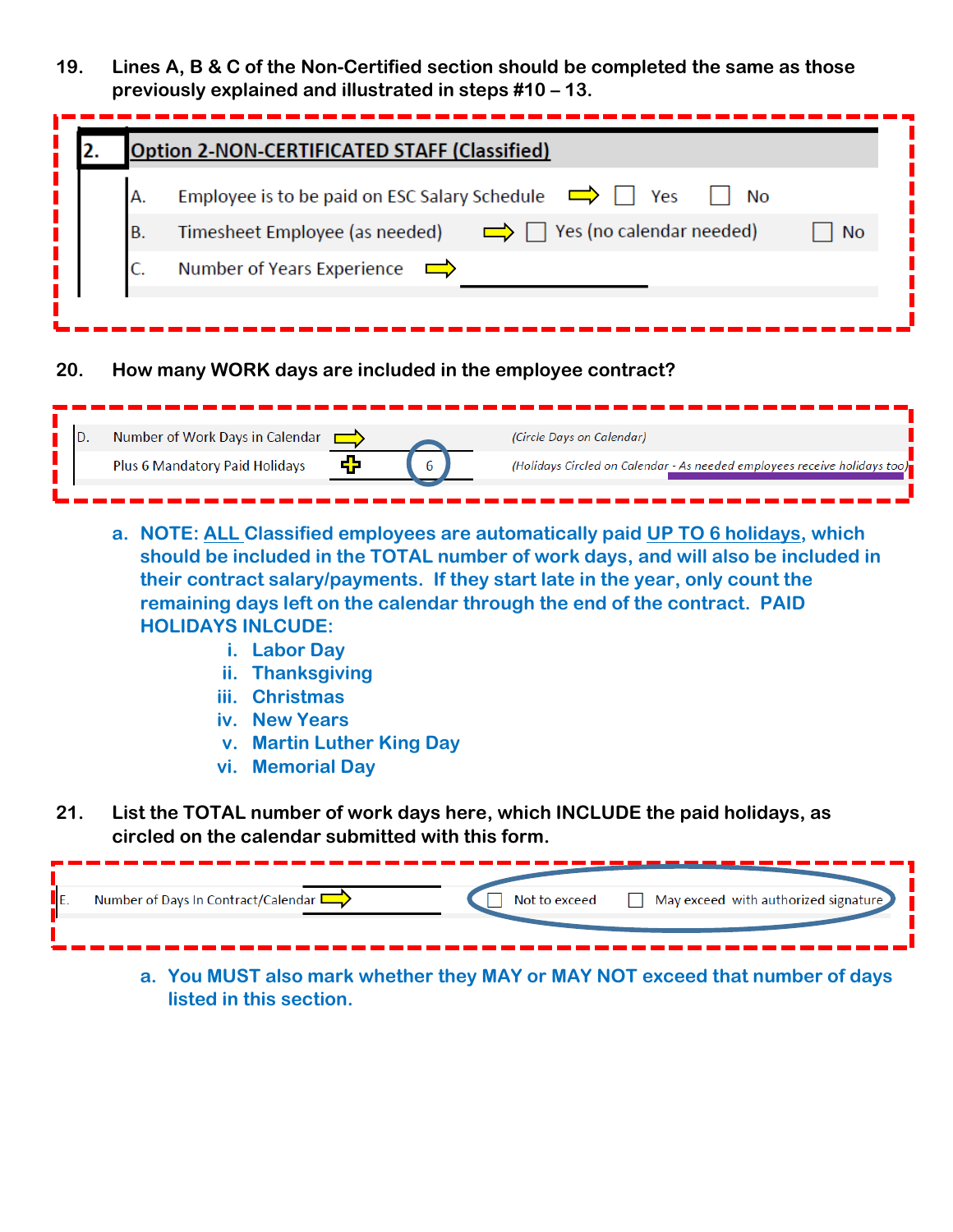**19. Lines A, B & C of the Non-Certified section should be completed the same as those previously explained and illustrated in steps #10 – 13.**

|                                                                                | Option 2-NON-CERTIFICATED STAFF (Classified)                                   |  |  |  |  |  |
|--------------------------------------------------------------------------------|--------------------------------------------------------------------------------|--|--|--|--|--|
| А.                                                                             | Employee is to be paid on ESC Salary Schedule<br>Yes<br>No                     |  |  |  |  |  |
| B.                                                                             | Timesheet Employee (as needed) $\Box$ T Yes (no calendar needed)<br><b>No</b>  |  |  |  |  |  |
| C.                                                                             | Number of Years Experience                                                     |  |  |  |  |  |
|                                                                                |                                                                                |  |  |  |  |  |
| Number of Work Days in Calendar<br>(Circle Days on Calendar)<br>D.<br>$\equiv$ |                                                                                |  |  |  |  |  |
|                                                                                |                                                                                |  |  |  |  |  |
|                                                                                | (Holidays Circled on Calendar - As needed employees receive holidays too)<br>6 |  |  |  |  |  |
|                                                                                | ╋<br>Plus 6 Mandatory Paid Holidays                                            |  |  |  |  |  |

- **ii. Thanksgiving**
- **iii. Christmas**
- **iv. New Years**
- **v. Martin Luther King Day**
- **vi. Memorial Day**
- **21. List the TOTAL number of work days here, which INCLUDE the paid holidays, as circled on the calendar submitted with this form.**

| Number of Days In Contract/Calendar | Not to exceed | $\Box$ May exceed with authorized signature                                  |
|-------------------------------------|---------------|------------------------------------------------------------------------------|
|                                     |               | a. You MUST also mark whether they MAY or MAY NOT exceed that number of days |

**a. You MUST also mark whether they MAY or MAY NOT exceed that number of days listed in this section.**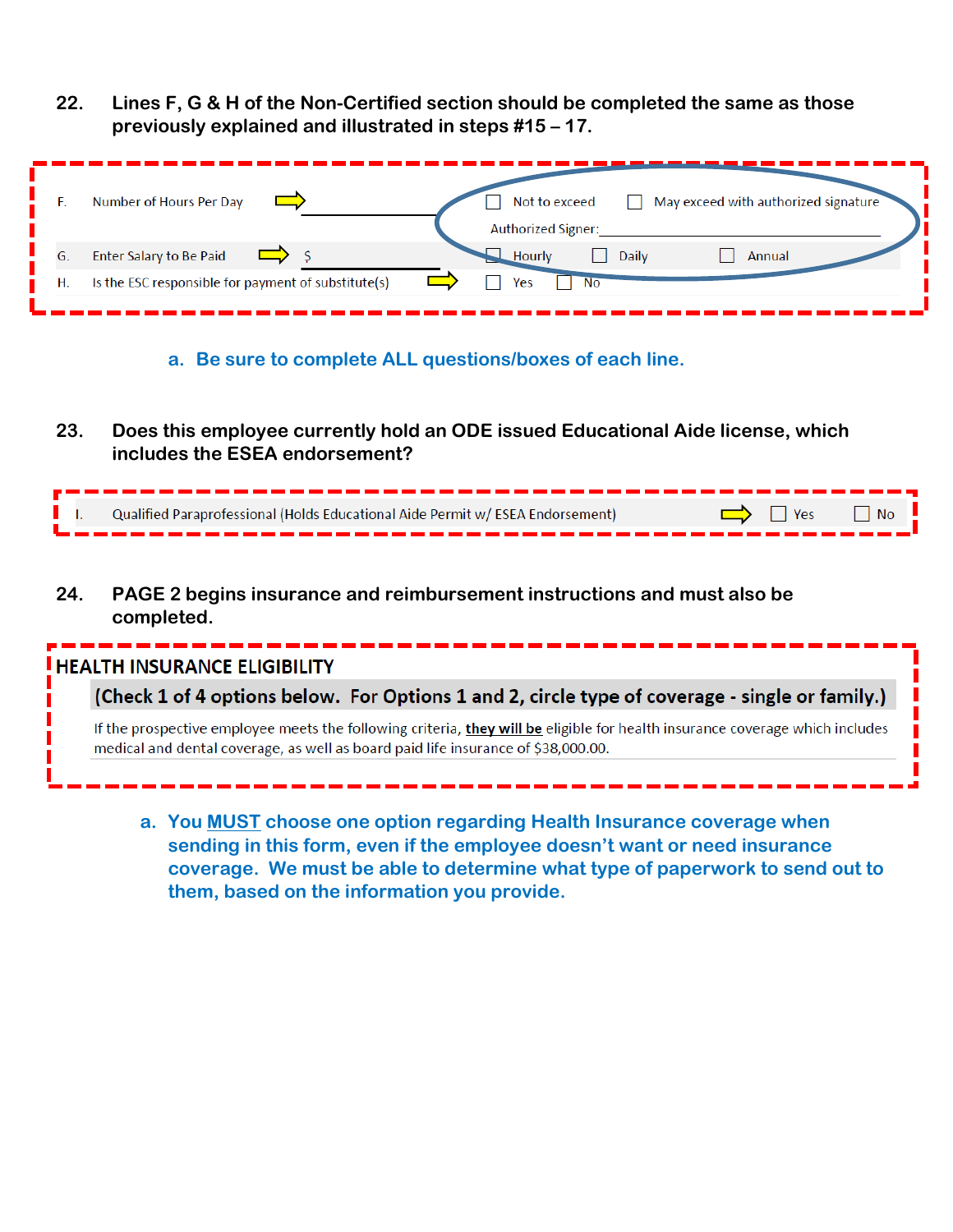**22. Lines F, G & H of the Non-Certified section should be completed the same as those previously explained and illustrated in steps #15 – 17.**

| Number of Hours Per Day                                   | May exceed with authorized signature<br>Not to exceed<br><b>Authorized Signer:</b> |
|-----------------------------------------------------------|------------------------------------------------------------------------------------|
| Enter Salary to Be Paid                                   | Daily<br>Annual<br>Hourly                                                          |
| Is the ESC responsible for payment of substitute(s)<br>Η. | Yes<br>No                                                                          |
|                                                           |                                                                                    |

**a. Be sure to complete ALL questions/boxes of each line.**

**23. Does this employee currently hold an ODE issued Educational Aide license, which includes the ESEA endorsement?**

|  | Qualified Paraprofessional (Holds Educational Aide Permit w/ ESEA Endorsement) | $\Rightarrow$ T Yes T No |
|--|--------------------------------------------------------------------------------|--------------------------|
|  |                                                                                |                          |

**24. PAGE 2 begins insurance and reimbursement instructions and must also be completed.**

| <b>I HEALTH INSURANCE ELIGIBILITY</b> |                                                                                                                                                                                                                   |  |  |  |
|---------------------------------------|-------------------------------------------------------------------------------------------------------------------------------------------------------------------------------------------------------------------|--|--|--|
|                                       | (Check 1 of 4 options below. For Options 1 and 2, circle type of coverage - single or family.)                                                                                                                    |  |  |  |
|                                       | If the prospective employee meets the following criteria, they will be eligible for health insurance coverage which includes<br>medical and dental coverage, as well as board paid life insurance of \$38,000.00. |  |  |  |

**a. You MUST choose one option regarding Health Insurance coverage when sending in this form, even if the employee doesn't want or need insurance coverage. We must be able to determine what type of paperwork to send out to them, based on the information you provide.**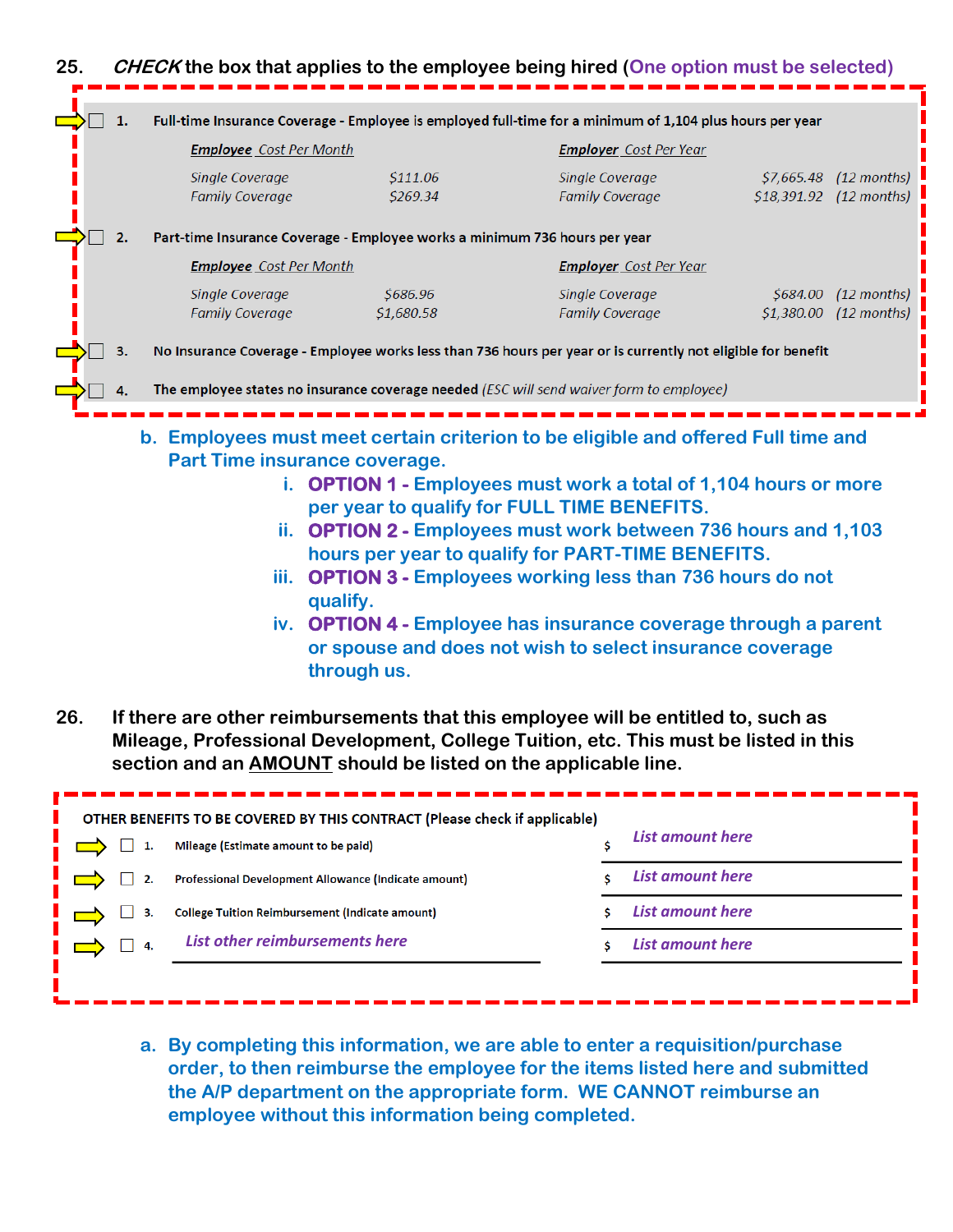

**26. If there are other reimbursements that this employee will be entitled to, such as Mileage, Professional Development, College Tuition, etc. This must be listed in this section and an AMOUNT should be listed on the applicable line.**

| OTHER BENEFITS TO BE COVERED BY THIS CONTRACT (Please check if applicable) |                                                        |  |                         |  |  |
|----------------------------------------------------------------------------|--------------------------------------------------------|--|-------------------------|--|--|
|                                                                            | Mileage (Estimate amount to be paid)                   |  | <b>List amount here</b> |  |  |
|                                                                            | Professional Development Allowance (Indicate amount)   |  | <b>List amount here</b> |  |  |
|                                                                            | <b>College Tuition Reimbursement (Indicate amount)</b> |  | List amount here        |  |  |
|                                                                            | List other reimbursements here                         |  | <b>List amount here</b> |  |  |
|                                                                            |                                                        |  |                         |  |  |

**a. By completing this information, we are able to enter a requisition/purchase order, to then reimburse the employee for the items listed here and submitted the A/P department on the appropriate form. WE CANNOT reimburse an employee without this information being completed.**